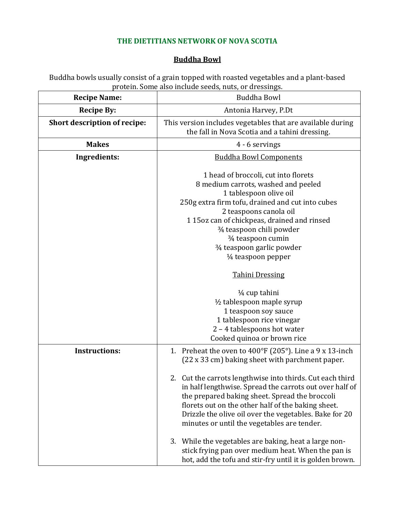## **THE DIETITIANS NETWORK OF NOVA SCOTIA**

## **Buddha Bowl**

Buddha bowls usually consist of a grain topped with roasted vegetables and a plant-based protein. Some also include seeds, nuts, or dressings.

| <b>Recipe Name:</b>                 | <b>Buddha Bowl</b>                                                                                                                                                                                                                                                                                                                                                                                                                                                                                                                                                                                                                       |
|-------------------------------------|------------------------------------------------------------------------------------------------------------------------------------------------------------------------------------------------------------------------------------------------------------------------------------------------------------------------------------------------------------------------------------------------------------------------------------------------------------------------------------------------------------------------------------------------------------------------------------------------------------------------------------------|
| <b>Recipe By:</b>                   | Antonia Harvey, P.Dt                                                                                                                                                                                                                                                                                                                                                                                                                                                                                                                                                                                                                     |
| <b>Short description of recipe:</b> | This version includes vegetables that are available during<br>the fall in Nova Scotia and a tahini dressing.                                                                                                                                                                                                                                                                                                                                                                                                                                                                                                                             |
| <b>Makes</b>                        | 4 - 6 servings                                                                                                                                                                                                                                                                                                                                                                                                                                                                                                                                                                                                                           |
| Ingredients:                        | <b>Buddha Bowl Components</b>                                                                                                                                                                                                                                                                                                                                                                                                                                                                                                                                                                                                            |
|                                     | 1 head of broccoli, cut into florets<br>8 medium carrots, washed and peeled<br>1 tablespoon olive oil<br>250g extra firm tofu, drained and cut into cubes<br>2 teaspoons canola oil<br>115oz can of chickpeas, drained and rinsed<br>3/4 teaspoon chili powder<br>3⁄4 teaspoon cumin<br>3⁄4 teaspoon garlic powder<br>1/ <sub>4</sub> teaspoon pepper<br><b>Tahini Dressing</b><br>$\frac{1}{4}$ cup tahini<br>1/2 tablespoon maple syrup<br>1 teaspoon soy sauce<br>1 tablespoon rice vinegar<br>2 - 4 tablespoons hot water                                                                                                            |
|                                     | Cooked quinoa or brown rice                                                                                                                                                                                                                                                                                                                                                                                                                                                                                                                                                                                                              |
| <b>Instructions:</b>                | 1. Preheat the oven to $400^{\circ}$ F (205°). Line a 9 x 13-inch<br>(22 x 33 cm) baking sheet with parchment paper.<br>2. Cut the carrots lengthwise into thirds. Cut each third<br>in half lengthwise. Spread the carrots out over half of<br>the prepared baking sheet. Spread the broccoli<br>florets out on the other half of the baking sheet.<br>Drizzle the olive oil over the vegetables. Bake for 20<br>minutes or until the vegetables are tender.<br>3. While the vegetables are baking, heat a large non-<br>stick frying pan over medium heat. When the pan is<br>hot, add the tofu and stir-fry until it is golden brown. |